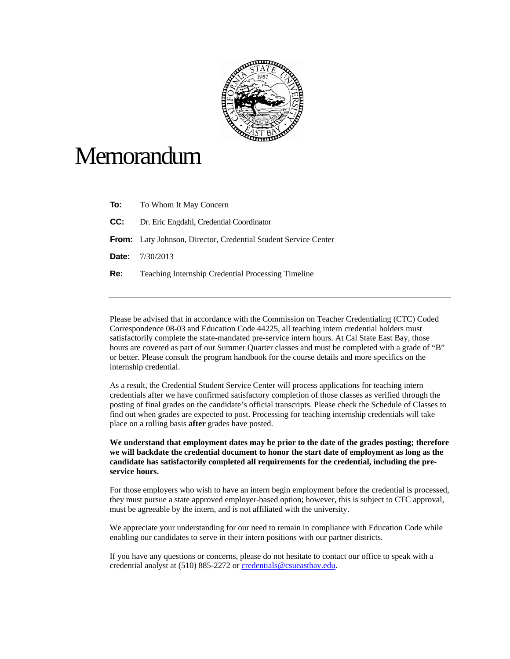

## **Memorandum**

| To: | To Whom It May Concern                                          |
|-----|-----------------------------------------------------------------|
| CC: | Dr. Eric Engdahl, Credential Coordinator                        |
|     | From: Laty Johnson, Director, Credential Student Service Center |
|     | <b>Date:</b> $7/30/2013$                                        |
| Re: | <b>Teaching Internship Credential Processing Timeline</b>       |

Please be advised that in accordance with the Commission on Teacher Credentialing (CTC) Coded Correspondence 08-03 and Education Code 44225, all teaching intern credential holders must satisfactorily complete the state-mandated pre-service intern hours. At Cal State East Bay, those hours are covered as part of our Summer Quarter classes and must be completed with a grade of "B" or better. Please consult the program handbook for the course details and more specifics on the internship credential.

As a result, the Credential Student Service Center will process applications for teaching intern credentials after we have confirmed satisfactory completion of those classes as verified through the posting of final grades on the candidate's official transcripts. Please check the Schedule of Classes to find out when grades are expected to post. Processing for teaching internship credentials will take place on a rolling basis **after** grades have posted.

**We understand that employment dates may be prior to the date of the grades posting; therefore we will backdate the credential document to honor the start date of employment as long as the candidate has satisfactorily completed all requirements for the credential, including the preservice hours.** 

For those employers who wish to have an intern begin employment before the credential is processed, they must pursue a state approved employer-based option; however, this is subject to CTC approval, must be agreeable by the intern, and is not affiliated with the university.

We appreciate your understanding for our need to remain in compliance with Education Code while enabling our candidates to serve in their intern positions with our partner districts.

If you have any questions or concerns, please do not hesitate to contact our office to speak with a credential analyst at (510) 885-2272 or credentials@csueastbay.edu.